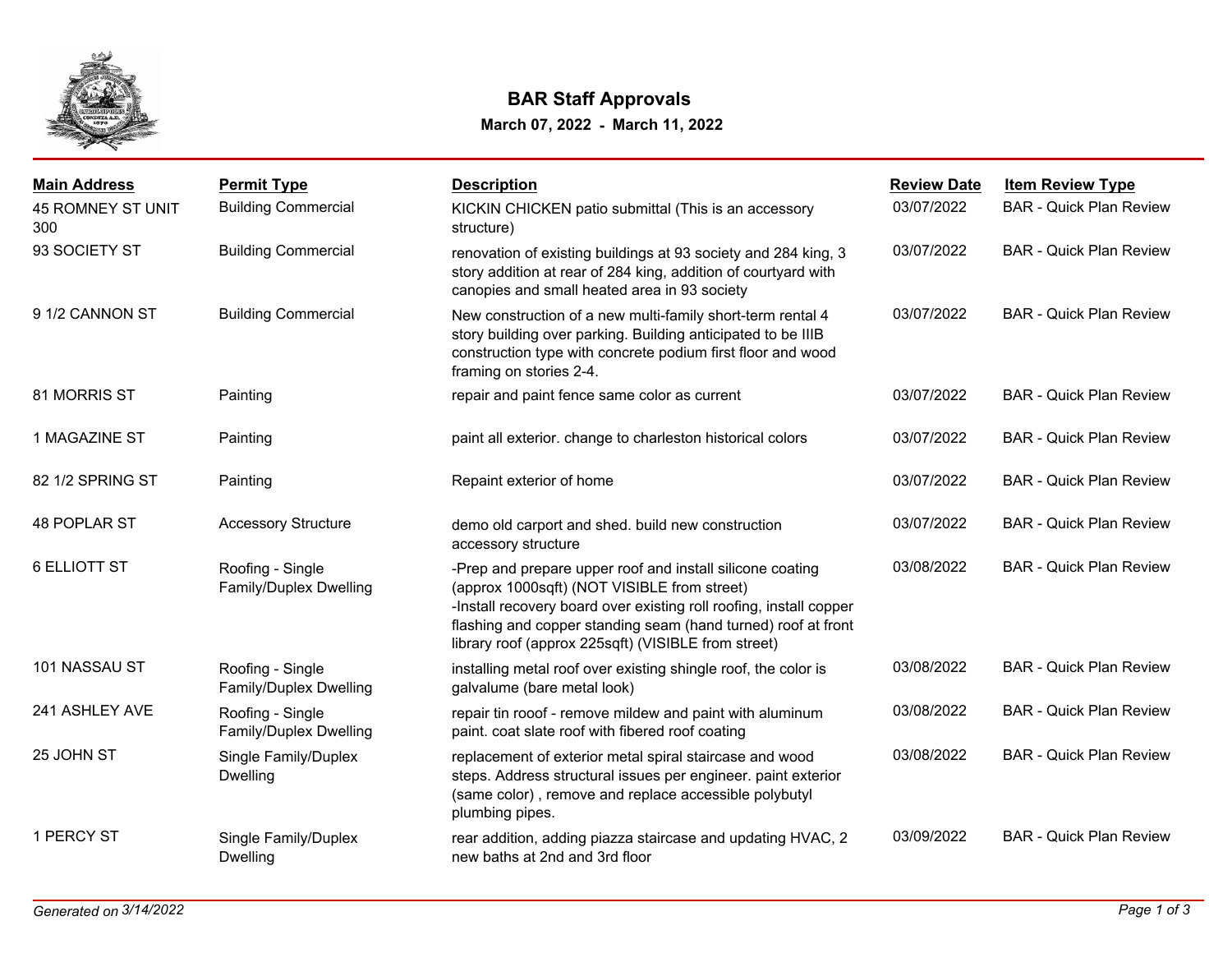

## **BAR Staff Approvals**

## **March 07, 2022 - March 11, 2022**

| <b>Main Address</b>             | <b>Permit Type</b>                         | <b>Description</b>                                                                                                                                                                                                                                                                                     | <b>Review Date</b> | <b>Item Review Type</b>        |
|---------------------------------|--------------------------------------------|--------------------------------------------------------------------------------------------------------------------------------------------------------------------------------------------------------------------------------------------------------------------------------------------------------|--------------------|--------------------------------|
| <b>45 ROMNEY ST UNIT</b><br>300 | <b>Building Commercial</b>                 | KICKIN CHICKEN patio submittal (This is an accessory<br>structure)                                                                                                                                                                                                                                     | 03/07/2022         | <b>BAR - Quick Plan Review</b> |
| 93 SOCIETY ST                   | <b>Building Commercial</b>                 | renovation of existing buildings at 93 society and 284 king, 3<br>story addition at rear of 284 king, addition of courtyard with<br>canopies and small heated area in 93 society                                                                                                                       | 03/07/2022         | <b>BAR - Quick Plan Review</b> |
| 9 1/2 CANNON ST                 | <b>Building Commercial</b>                 | New construction of a new multi-family short-term rental 4<br>story building over parking. Building anticipated to be IIIB<br>construction type with concrete podium first floor and wood<br>framing on stories 2-4.                                                                                   | 03/07/2022         | <b>BAR - Quick Plan Review</b> |
| 81 MORRIS ST                    | Painting                                   | repair and paint fence same color as current                                                                                                                                                                                                                                                           | 03/07/2022         | <b>BAR - Quick Plan Review</b> |
| 1 MAGAZINE ST                   | Painting                                   | paint all exterior. change to charleston historical colors                                                                                                                                                                                                                                             | 03/07/2022         | <b>BAR - Quick Plan Review</b> |
| 82 1/2 SPRING ST                | Painting                                   | Repaint exterior of home                                                                                                                                                                                                                                                                               | 03/07/2022         | <b>BAR - Quick Plan Review</b> |
| 48 POPLAR ST                    | <b>Accessory Structure</b>                 | demo old carport and shed. build new construction<br>accessory structure                                                                                                                                                                                                                               | 03/07/2022         | <b>BAR - Quick Plan Review</b> |
| <b>6 ELLIOTT ST</b>             | Roofing - Single<br>Family/Duplex Dwelling | -Prep and prepare upper roof and install silicone coating<br>(approx 1000sqft) (NOT VISIBLE from street)<br>-Install recovery board over existing roll roofing, install copper<br>flashing and copper standing seam (hand turned) roof at front<br>library roof (approx 225sqft) (VISIBLE from street) | 03/08/2022         | <b>BAR - Quick Plan Review</b> |
| 101 NASSAU ST                   | Roofing - Single<br>Family/Duplex Dwelling | installing metal roof over existing shingle roof, the color is<br>galvalume (bare metal look)                                                                                                                                                                                                          | 03/08/2022         | <b>BAR - Quick Plan Review</b> |
| 241 ASHLEY AVE                  | Roofing - Single<br>Family/Duplex Dwelling | repair tin rooof - remove mildew and paint with aluminum<br>paint. coat slate roof with fibered roof coating                                                                                                                                                                                           | 03/08/2022         | <b>BAR - Quick Plan Review</b> |
| 25 JOHN ST                      | Single Family/Duplex<br><b>Dwelling</b>    | replacement of exterior metal spiral staircase and wood<br>steps. Address structural issues per engineer. paint exterior<br>(same color), remove and replace accessible polybutyl<br>plumbing pipes.                                                                                                   | 03/08/2022         | <b>BAR - Quick Plan Review</b> |
| 1 PERCY ST                      | Single Family/Duplex<br><b>Dwelling</b>    | rear addition, adding piazza staircase and updating HVAC, 2<br>new baths at 2nd and 3rd floor                                                                                                                                                                                                          | 03/09/2022         | <b>BAR - Quick Plan Review</b> |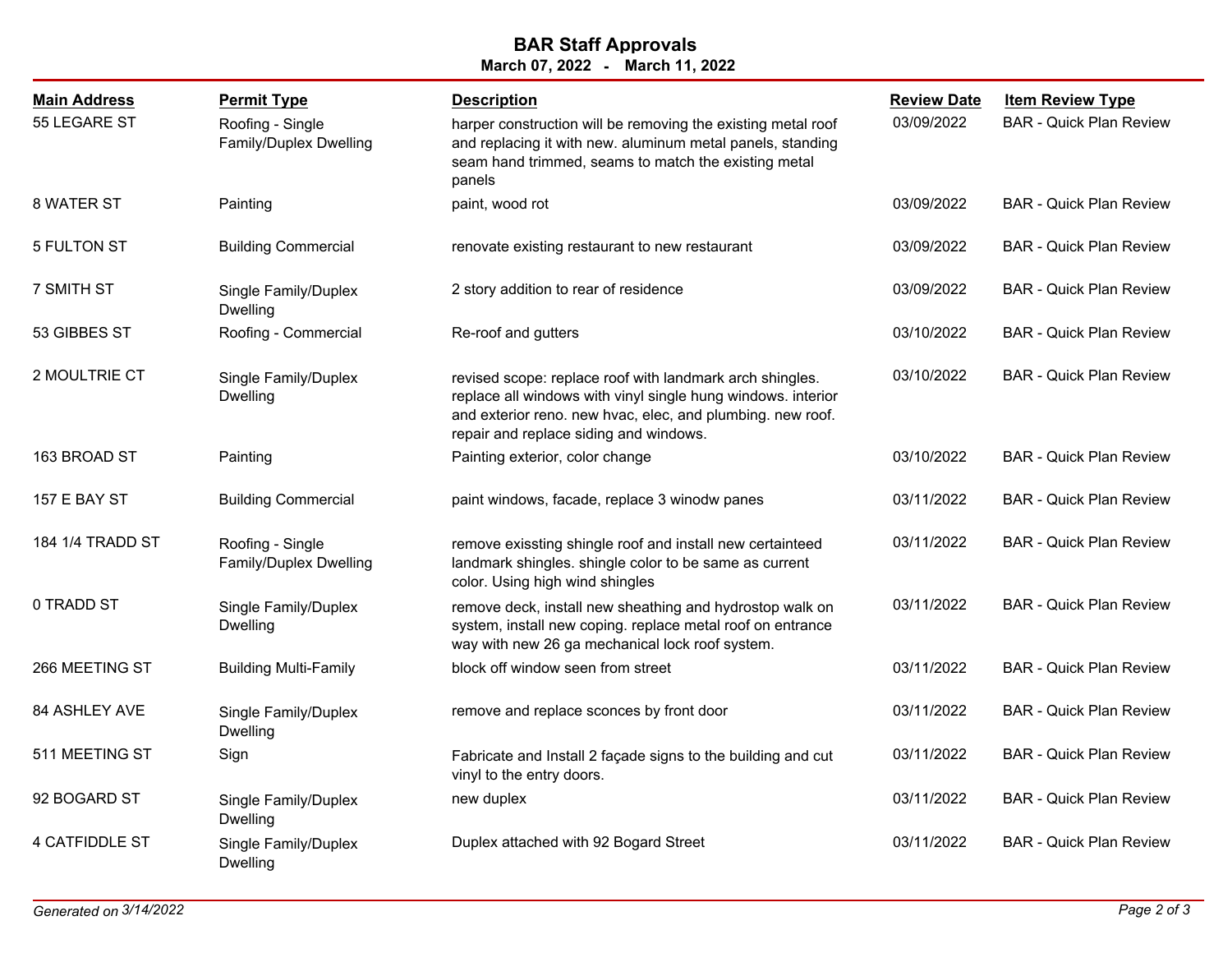## **March 07, 2022 - March 11, 2022 BAR Staff Approvals**

| <b>Main Address</b>   | <b>Permit Type</b>                         | <b>Description</b>                                                                                                                                                                                                               | <b>Review Date</b> | <b>Item Review Type</b>        |
|-----------------------|--------------------------------------------|----------------------------------------------------------------------------------------------------------------------------------------------------------------------------------------------------------------------------------|--------------------|--------------------------------|
| 55 LEGARE ST          | Roofing - Single<br>Family/Duplex Dwelling | harper construction will be removing the existing metal roof<br>and replacing it with new. aluminum metal panels, standing<br>seam hand trimmed, seams to match the existing metal<br>panels                                     | 03/09/2022         | <b>BAR</b> - Quick Plan Review |
| 8 WATER ST            | Painting                                   | paint, wood rot                                                                                                                                                                                                                  | 03/09/2022         | <b>BAR - Quick Plan Review</b> |
| 5 FULTON ST           | <b>Building Commercial</b>                 | renovate existing restaurant to new restaurant                                                                                                                                                                                   | 03/09/2022         | <b>BAR - Quick Plan Review</b> |
| 7 SMITH ST            | Single Family/Duplex<br><b>Dwelling</b>    | 2 story addition to rear of residence                                                                                                                                                                                            | 03/09/2022         | <b>BAR - Quick Plan Review</b> |
| 53 GIBBES ST          | Roofing - Commercial                       | Re-roof and gutters                                                                                                                                                                                                              | 03/10/2022         | <b>BAR - Quick Plan Review</b> |
| 2 MOULTRIE CT         | Single Family/Duplex<br>Dwelling           | revised scope: replace roof with landmark arch shingles.<br>replace all windows with vinyl single hung windows. interior<br>and exterior reno. new hvac, elec, and plumbing. new roof.<br>repair and replace siding and windows. | 03/10/2022         | <b>BAR - Quick Plan Review</b> |
| 163 BROAD ST          | Painting                                   | Painting exterior, color change                                                                                                                                                                                                  | 03/10/2022         | <b>BAR - Quick Plan Review</b> |
| 157 E BAY ST          | <b>Building Commercial</b>                 | paint windows, facade, replace 3 winodw panes                                                                                                                                                                                    | 03/11/2022         | <b>BAR - Quick Plan Review</b> |
| 184 1/4 TRADD ST      | Roofing - Single<br>Family/Duplex Dwelling | remove exissting shingle roof and install new certainteed<br>landmark shingles. shingle color to be same as current<br>color. Using high wind shingles                                                                           | 03/11/2022         | <b>BAR - Quick Plan Review</b> |
| 0 TRADD ST            | Single Family/Duplex<br><b>Dwelling</b>    | remove deck, install new sheathing and hydrostop walk on<br>system, install new coping. replace metal roof on entrance<br>way with new 26 ga mechanical lock roof system.                                                        | 03/11/2022         | <b>BAR - Quick Plan Review</b> |
| 266 MEETING ST        | <b>Building Multi-Family</b>               | block off window seen from street                                                                                                                                                                                                | 03/11/2022         | <b>BAR - Quick Plan Review</b> |
| <b>84 ASHLEY AVE</b>  | Single Family/Duplex<br>Dwelling           | remove and replace sconces by front door                                                                                                                                                                                         | 03/11/2022         | <b>BAR - Quick Plan Review</b> |
| 511 MEETING ST        | Sign                                       | Fabricate and Install 2 façade signs to the building and cut<br>vinyl to the entry doors.                                                                                                                                        | 03/11/2022         | <b>BAR - Quick Plan Review</b> |
| 92 BOGARD ST          | Single Family/Duplex<br>Dwelling           | new duplex                                                                                                                                                                                                                       | 03/11/2022         | <b>BAR - Quick Plan Review</b> |
| <b>4 CATFIDDLE ST</b> | Single Family/Duplex<br><b>Dwelling</b>    | Duplex attached with 92 Bogard Street                                                                                                                                                                                            | 03/11/2022         | <b>BAR - Quick Plan Review</b> |